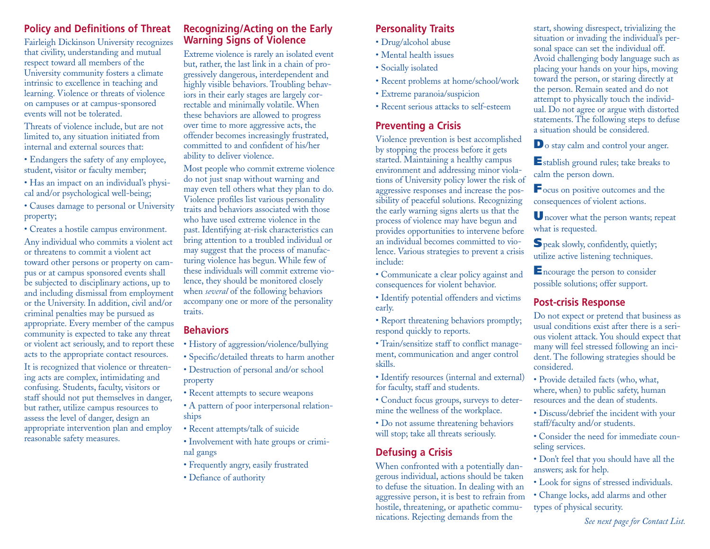### **Policy and Definitions of Threat**

Fairleigh Dickinson University recognizes that civility, understanding and mutual respect toward all members of the University community fosters a climate intrinsic to excellence in teaching and learning. Violence or threats of violence on campuses or at campus-sponsored events will not be tolerated.

Threats of violence include, but are not limited to, any situation initiated from internal and external sources that:

- Endangers the safety of any employee, student, visitor or faculty member;
- Has an impact on an individual's physical and/or psychological well-being;
- Causes damage to personal or University property;
- Creates a hostile campus environment.

Any individual who commits a violent act or threatens to commit a violent act toward other persons or property on campus or at campus sponsored events shall be subjected to disciplinary actions, up to and including dismissal from employment or the University. In addition, civil and/or criminal penalties may be pursued as appropriate. Every member of the campus community is expected to take any threat or violent act seriously, and to report these acts to the appropriate contact resources.

It is recognized that violence or threatening acts are complex, intimidating and confusing. Students, faculty, visitors or staff should not put themselves in danger, but rather, utilize campus resources to assess the level of danger, design an appropriate intervention plan and employ reasonable safety measures.

#### **Recognizing/Acting on the Early Warning Signs of Violence**

Extreme violence is rarely an isolated event but, rather, the last link in a chain of progressively dangerous, interdependent and highly visible behaviors. Troubling behaviors in their early stages are largely correctable and minimally volatile. When these behaviors are allowed to progress over time to more aggressive acts, the offender becomes increasingly frustrated, committed to and confident of his/her ability to deliver violence.

Most people who commit extreme violence do not just snap without warning and may even tell others what they plan to do. Violence profiles list various personality traits and behaviors associated with those who have used extreme violence in the past. Identifying at-risk characteristics can bring attention to a troubled individual or may suggest that the process of manufacturing violence has begun. While few of these individuals will commit extreme violence, they should be monitored closely when *several* of the following behaviors accompany one or more of the personality traits.

# **Behaviors**

- History of aggression/violence/bullying
- Specific/detailed threats to harm another
- Destruction of personal and/or school property
- Recent attempts to secure weapons
- A pattern of poor interpersonal relationships
- Recent attempts/talk of suicide
- Involvement with hate groups or criminal gangs
- Frequently angry, easily frustrated
- Defiance of authority

#### **Personality Traits**

- Drug/alcohol abuse
- Mental health issues
- Socially isolated
- Recent problems at home/school/work
- Extreme paranoia/suspicion
- Recent serious attacks to self-esteem

# **Preventing a Crisis**

Violence prevention is best accomplished by stopping the process before it gets started. Maintaining a healthy campus environment and addressing minor violations of University policy lower the risk of aggressive responses and increase the possibility of peaceful solutions. Recognizing the early warning signs alerts us that the process of violence may have begun and provides opportunities to intervene before an individual becomes committed to violence. Various strategies to prevent a crisis include:

• Communicate a clear policy against and consequences for violent behavior.

• Identify potential offenders and victims early.

• Report threatening behaviors promptly; respond quickly to reports.

• Train/sensitize staff to conflict management, communication and anger control skills.

• Identify resources (internal and external) for faculty, staff and students.

- Conduct focus groups, surveys to determine the wellness of the workplace.
- Do not assume threatening behaviors will stop; take all threats seriously.

# **Defusing a Crisis**

When confronted with a potentially dangerous individual, actions should be taken to defuse the situation. In dealing with an aggressive person, it is best to refrain from hostile, threatening, or apathetic communications. Rejecting demands from the

start, showing disrespect, trivializing the situation or invading the individual's personal space can set the individual off. Avoid challenging body language such as placing your hands on your hips, moving toward the person, or staring directly at the person. Remain seated and do not attempt to physically touch the individual. Do not agree or argue with distorted statements. The following steps to defuse a situation should be considered.

**D**o stay calm and control your anger.

**E**stablish ground rules; take breaks to calm the person down.

**F**ocus on positive outcomes and the consequences of violent actions.

**U**ncover what the person wants; repeat what is requested.

**S**peak slowly, confidently, quietly; utilize active listening techniques.

**E**ncourage the person to consider possible solutions; offer support.

#### **Post-crisis Response**

Do not expect or pretend that business as usual conditions exist after there is a serious violent attack. You should expect that many will feel stressed following an incident. The following strategies should be considered.

- Provide detailed facts (who, what, where, when) to public safety, human resources and the dean of students.
- Discuss/debrief the incident with your staff/faculty and/or students.
- Consider the need for immediate counseling services.
- Don't feel that you should have all the answers; ask for help.
- Look for signs of stressed individuals.
- Change locks, add alarms and other types of physical security.

*See next page for Contact List.*